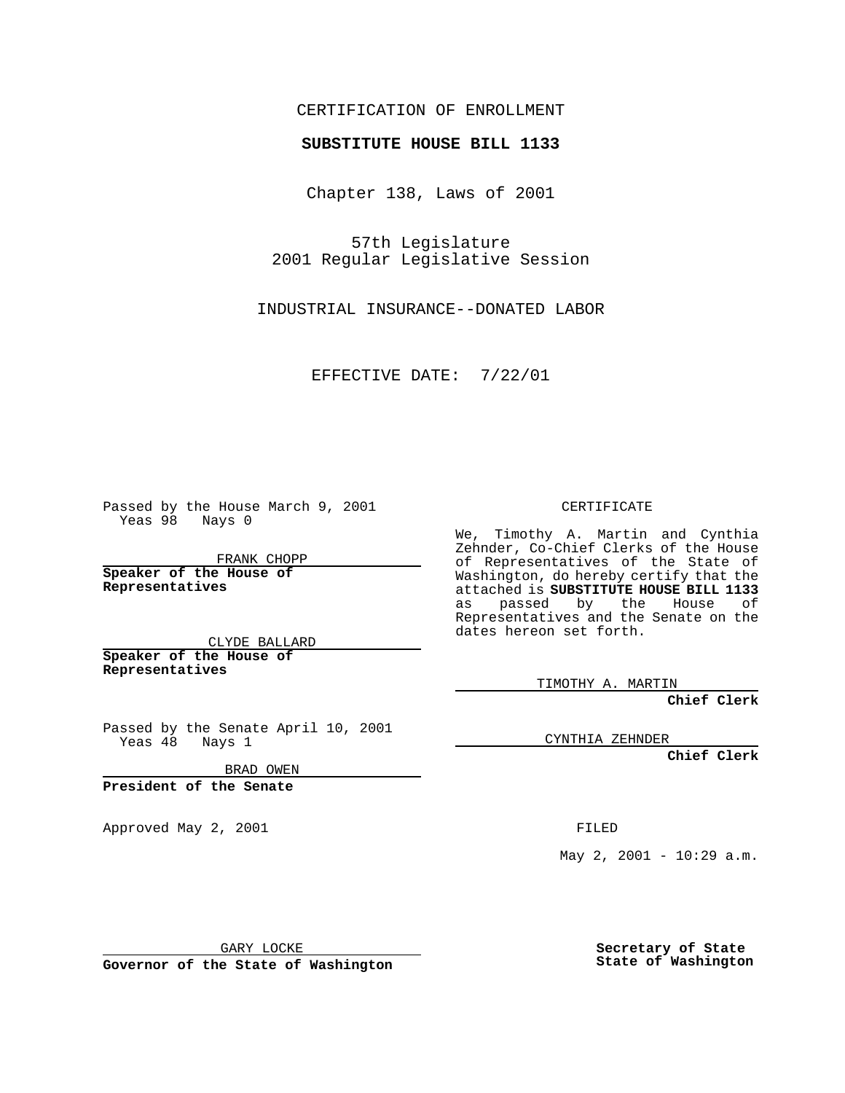## CERTIFICATION OF ENROLLMENT

## **SUBSTITUTE HOUSE BILL 1133**

Chapter 138, Laws of 2001

57th Legislature 2001 Regular Legislative Session

INDUSTRIAL INSURANCE--DONATED LABOR

EFFECTIVE DATE: 7/22/01

Passed by the House March 9, 2001 Yeas 98 Nays 0

FRANK CHOPP

**Speaker of the House of Representatives**

CLYDE BALLARD **Speaker of the House of**

**Representatives**

Passed by the Senate April 10, 2001 Yeas 48 Nays 1

BRAD OWEN

**President of the Senate**

Approved May 2, 2001 and the contract of the FILED

CERTIFICATE

We, Timothy A. Martin and Cynthia Zehnder, Co-Chief Clerks of the House of Representatives of the State of Washington, do hereby certify that the attached is **SUBSTITUTE HOUSE BILL 1133** as passed by the House of Representatives and the Senate on the dates hereon set forth.

TIMOTHY A. MARTIN

**Chief Clerk**

CYNTHIA ZEHNDER

**Chief Clerk**

May 2, 2001 - 10:29 a.m.

GARY LOCKE

**Governor of the State of Washington**

**Secretary of State State of Washington**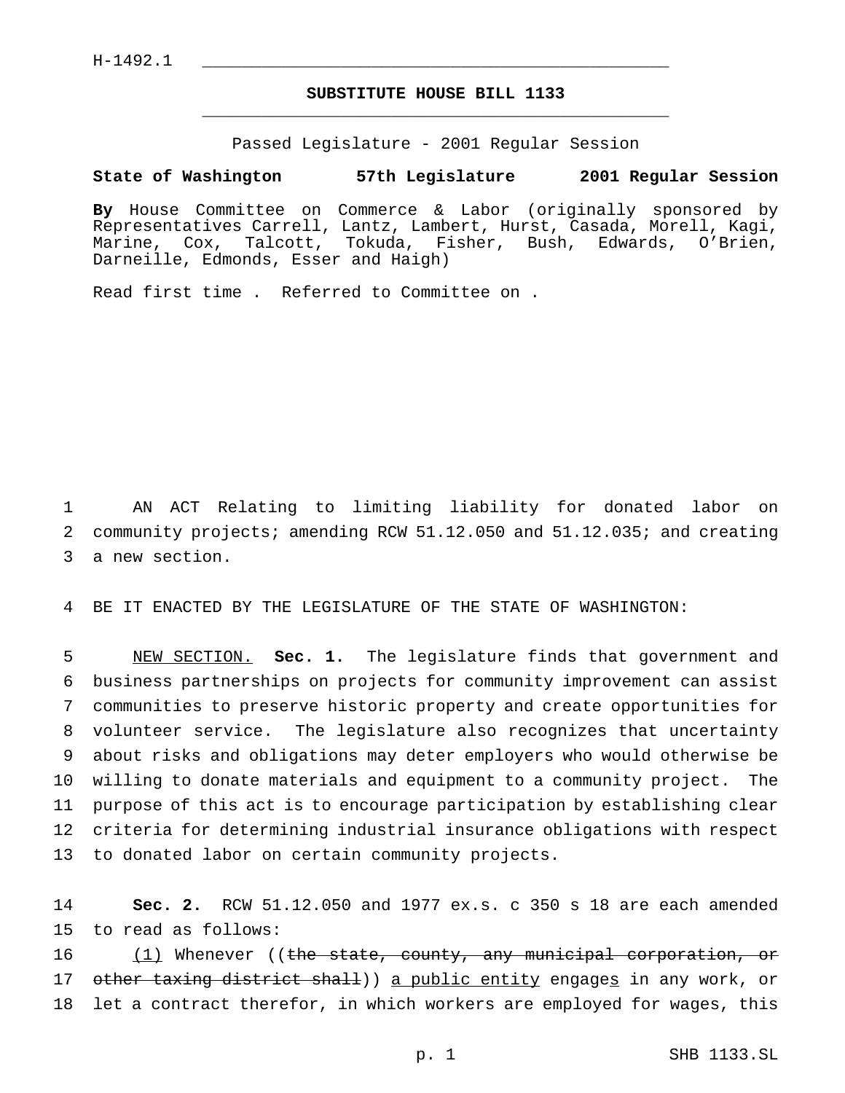## **SUBSTITUTE HOUSE BILL 1133** \_\_\_\_\_\_\_\_\_\_\_\_\_\_\_\_\_\_\_\_\_\_\_\_\_\_\_\_\_\_\_\_\_\_\_\_\_\_\_\_\_\_\_\_\_\_\_

Passed Legislature - 2001 Regular Session

## **State of Washington 57th Legislature 2001 Regular Session**

**By** House Committee on Commerce & Labor (originally sponsored by Representatives Carrell, Lantz, Lambert, Hurst, Casada, Morell, Kagi, Marine, Cox, Talcott, Tokuda, Fisher, Bush, Edwards, O'Brien, Darneille, Edmonds, Esser and Haigh)

Read first time . Referred to Committee on .

1 AN ACT Relating to limiting liability for donated labor on 2 community projects; amending RCW 51.12.050 and 51.12.035; and creating 3 a new section.

4 BE IT ENACTED BY THE LEGISLATURE OF THE STATE OF WASHINGTON:

 NEW SECTION. **Sec. 1.** The legislature finds that government and business partnerships on projects for community improvement can assist communities to preserve historic property and create opportunities for volunteer service. The legislature also recognizes that uncertainty about risks and obligations may deter employers who would otherwise be willing to donate materials and equipment to a community project. The purpose of this act is to encourage participation by establishing clear criteria for determining industrial insurance obligations with respect to donated labor on certain community projects.

14 **Sec. 2.** RCW 51.12.050 and 1977 ex.s. c 350 s 18 are each amended 15 to read as follows:

16 (1) Whenever ((the state, county, any municipal corporation, or 17 other taxing district shall)) a public entity engages in any work, or 18 let a contract therefor, in which workers are employed for wages, this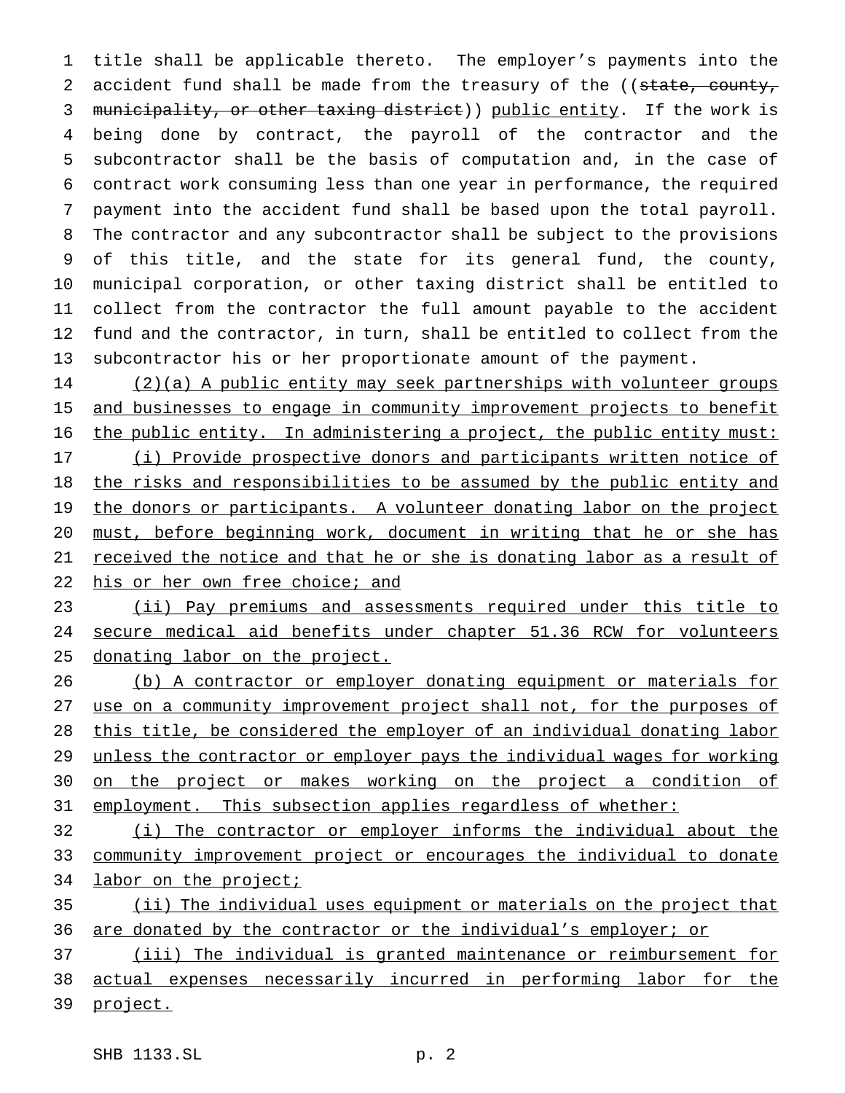title shall be applicable thereto. The employer's payments into the 2 accident fund shall be made from the treasury of the ((state, county, 3 municipality, or other taxing district)) public entity. If the work is being done by contract, the payroll of the contractor and the subcontractor shall be the basis of computation and, in the case of contract work consuming less than one year in performance, the required payment into the accident fund shall be based upon the total payroll. The contractor and any subcontractor shall be subject to the provisions of this title, and the state for its general fund, the county, municipal corporation, or other taxing district shall be entitled to collect from the contractor the full amount payable to the accident fund and the contractor, in turn, shall be entitled to collect from the subcontractor his or her proportionate amount of the payment.

 (2)(a) A public entity may seek partnerships with volunteer groups 15 and businesses to engage in community improvement projects to benefit 16 the public entity. In administering a project, the public entity must: (i) Provide prospective donors and participants written notice of 18 the risks and responsibilities to be assumed by the public entity and 19 the donors or participants. A volunteer donating labor on the project must, before beginning work, document in writing that he or she has received the notice and that he or she is donating labor as a result of 22 his or her own free choice; and

23 (ii) Pay premiums and assessments required under this title to 24 secure medical aid benefits under chapter 51.36 RCW for volunteers donating labor on the project.

 (b) A contractor or employer donating equipment or materials for use on a community improvement project shall not, for the purposes of this title, be considered the employer of an individual donating labor unless the contractor or employer pays the individual wages for working on the project or makes working on the project a condition of 31 employment. This subsection applies regardless of whether:

 (i) The contractor or employer informs the individual about the community improvement project or encourages the individual to donate 34 labor on the project;

 (ii) The individual uses equipment or materials on the project that 36 are donated by the contractor or the individual's employer; or

 (iii) The individual is granted maintenance or reimbursement for actual expenses necessarily incurred in performing labor for the project.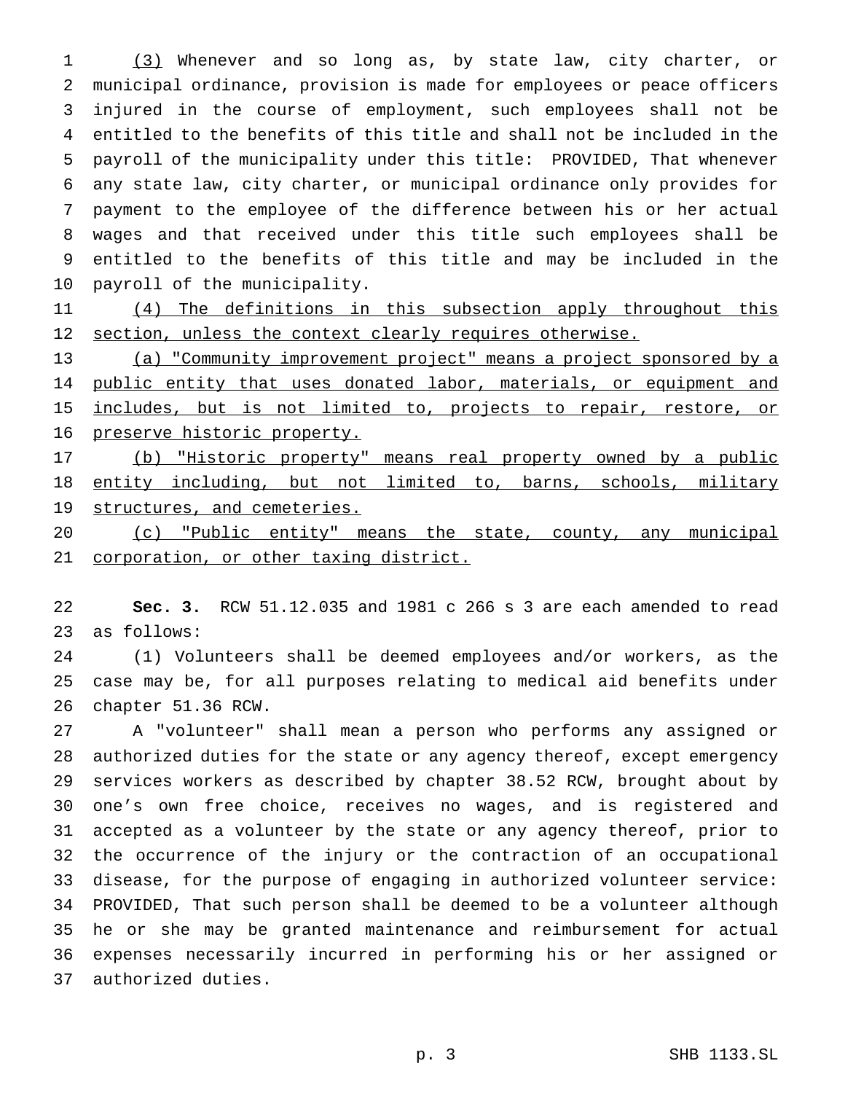(3) Whenever and so long as, by state law, city charter, or municipal ordinance, provision is made for employees or peace officers injured in the course of employment, such employees shall not be entitled to the benefits of this title and shall not be included in the payroll of the municipality under this title: PROVIDED, That whenever any state law, city charter, or municipal ordinance only provides for payment to the employee of the difference between his or her actual wages and that received under this title such employees shall be entitled to the benefits of this title and may be included in the payroll of the municipality.

11 (4) The definitions in this subsection apply throughout this 12 section, unless the context clearly requires otherwise.

 (a) "Community improvement project" means a project sponsored by a 14 public entity that uses donated labor, materials, or equipment and 15 includes, but is not limited to, projects to repair, restore, or preserve historic property.

 (b) "Historic property" means real property owned by a public 18 entity including, but not limited to, barns, schools, military 19 structures, and cemeteries.

 (c) "Public entity" means the state, county, any municipal corporation, or other taxing district.

 **Sec. 3.** RCW 51.12.035 and 1981 c 266 s 3 are each amended to read as follows:

 (1) Volunteers shall be deemed employees and/or workers, as the case may be, for all purposes relating to medical aid benefits under chapter 51.36 RCW.

 A "volunteer" shall mean a person who performs any assigned or authorized duties for the state or any agency thereof, except emergency services workers as described by chapter 38.52 RCW, brought about by one's own free choice, receives no wages, and is registered and accepted as a volunteer by the state or any agency thereof, prior to the occurrence of the injury or the contraction of an occupational disease, for the purpose of engaging in authorized volunteer service: PROVIDED, That such person shall be deemed to be a volunteer although he or she may be granted maintenance and reimbursement for actual expenses necessarily incurred in performing his or her assigned or authorized duties.